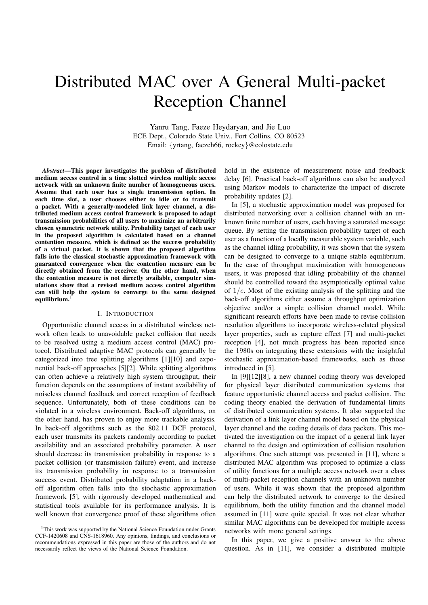# Distributed MAC over A General Multi-packet Reception Channel

Yanru Tang, Faeze Heydaryan, and Jie Luo ECE Dept., Colorado State Univ., Fort Collins, CO 80523 Email: {yrtang, faezeh66, rockey}@colostate.edu

*Abstract***—This paper investigates the problem of distributed medium access control in a time slotted wireless multiple access network with an unknown finite number of homogeneous users. Assume that each user has a single transmission option. In each time slot, a user chooses either to idle or to transmit a packet. With a generally-modeled link layer channel, a distributed medium access control framework is proposed to adapt transmission probabilities of all users to maximize an arbitrarily chosen symmetric network utility. Probability target of each user in the proposed algorithm is calculated based on a channel contention measure, which is defined as the success probability of a virtual packet. It is shown that the proposed algorithm falls into the classical stochastic approximation framework with guaranteed convergence when the contention measure can be directly obtained from the receiver. On the other hand, when the contention measure is not directly available, computer simulations show that a revised medium access control algorithm can still help the system to converge to the same designed** equilibrium.

# I. INTRODUCTION

Opportunistic channel access in a distributed wireless network often leads to unavoidable packet collision that needs to be resolved using a medium access control (MAC) protocol. Distributed adaptive MAC protocols can generally be categorized into tree splitting algorithms [1][10] and exponential back-off approaches [5][2]. While splitting algorithms can often achieve a relatively high system throughput, their function depends on the assumptions of instant availability of noiseless channel feedback and correct reception of feedback sequence. Unfortunately, both of these conditions can be violated in a wireless environment. Back-off algorithms, on the other hand, has proven to enjoy more trackable analysis. In back-off algorithms such as the 802.11 DCF protocol, each user transmits its packets randomly according to packet availability and an associated probability parameter. A user should decrease its transmission probability in response to a packet collision (or transmission failure) event, and increase its transmission probability in response to a transmission success event. Distributed probability adaptation in a backoff algorithm often falls into the stochastic approximation framework [5], with rigorously developed mathematical and statistical tools available for its performance analysis. It is well known that convergence proof of these algorithms often hold in the existence of measurement noise and feedback delay [6]. Practical back-off algorithms can also be analyzed using Markov models to characterize the impact of discrete probability updates [2].

In [5], a stochastic approximation model was proposed for distributed networking over a collision channel with an unknown finite number of users, each having a saturated message queue. By setting the transmission probability target of each user as a function of a locally measurable system variable, such as the channel idling probability, it was shown that the system can be designed to converge to a unique stable equilibrium. In the case of throughput maximization with homogeneous users, it was proposed that idling probability of the channel should be controlled toward the asymptotically optimal value of  $1/e$ . Most of the existing analysis of the splitting and the back-off algorithms either assume a throughput optimization objective and/or a simple collision channel model. While significant research efforts have been made to revise collision resolution algorithms to incorporate wireless-related physical layer properties, such as capture effect [7] and multi-packet reception [4], not much progress has been reported since the 1980s on integrating these extensions with the insightful stochastic approximation-based frameworks, such as those introduced in [5].

In [9][12][8], a new channel coding theory was developed for physical layer distributed communication systems that feature opportunistic channel access and packet collision. The coding theory enabled the derivation of fundamental limits of distributed communication systems. It also supported the derivation of a link layer channel model based on the physical layer channel and the coding details of data packets. This motivated the investigation on the impact of a general link layer channel to the design and optimization of collision resolution algorithms. One such attempt was presented in [11], where a distributed MAC algorithm was proposed to optimize a class of utility functions for a multiple access network over a class of multi-packet reception channels with an unknown number of users. While it was shown that the proposed algorithm can help the distributed network to converge to the desired equilibrium, both the utility function and the channel model assumed in [11] were quite special. It was not clear whether similar MAC algorithms can be developed for multiple access networks with more general settings.

In this paper, we give a positive answer to the above question. As in [11], we consider a distributed multiple

<sup>&</sup>lt;sup>1</sup>This work was supported by the National Science Foundation under Grants CCF-1420608 and CNS-1618960. Any opinions, findings, and conclusions or recommendations expressed in this paper are those of the authors and do not necessarily reflect the views of the National Science Foundation.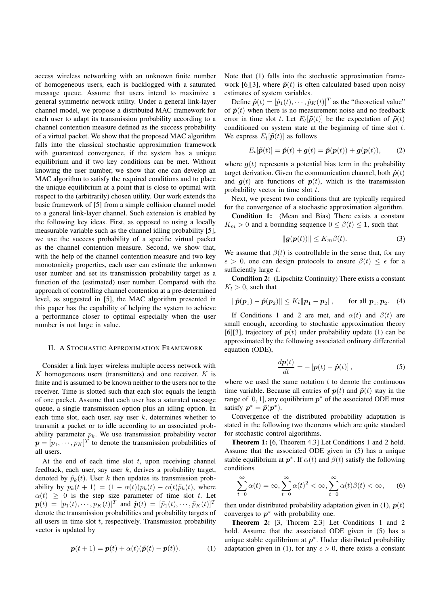access wireless networking with an unknown finite number of homogeneous users, each is backlogged with a saturated message queue. Assume that users intend to maximize a general symmetric network utility. Under a general link-layer channel model, we propose a distributed MAC framework for each user to adapt its transmission probability according to a channel contention measure defined as the success probability of a virtual packet. We show that the proposed MAC algorithm falls into the classical stochastic approximation framework with guaranteed convergence, if the system has a unique equilibrium and if two key conditions can be met. Without knowing the user number, we show that one can develop an MAC algorithm to satisfy the required conditions and to place the unique equilibrium at a point that is close to optimal with respect to the (arbitrarily) chosen utility. Our work extends the basic framework of [5] from a simple collision channel model to a general link-layer channel. Such extension is enabled by the following key ideas. First, as opposed to using a locally measurable variable such as the channel idling probability [5], we use the success probability of a specific virtual packet as the channel contention measure. Second, we show that, with the help of the channel contention measure and two key monotonicity properties, each user can estimate the unknown user number and set its transmission probability target as a function of the (estimated) user number. Compared with the approach of controlling channel contention at a pre-determined level, as suggested in [5], the MAC algorithm presented in this paper has the capability of helping the system to achieve a performance closer to optimal especially when the user number is not large in value.

#### II. A STOCHASTIC APPROXIMATION FRAMEWORK

Consider a link layer wireless multiple access network with K homogeneous users (transmitters) and one receiver.  $K$  is finite and is assumed to be known neither to the users nor to the receiver. Time is slotted such that each slot equals the length of one packet. Assume that each user has a saturated message queue, a single transmission option plus an idling option. In each time slot, each user, say user  $k$ , determines whether to transmit a packet or to idle according to an associated probability parameter  $p_k$ . We use transmission probability vector  $\boldsymbol{p} = [p_1, \dots, p_K]^T$  to denote the transmission probabilities of all users.

At the end of each time slot  $t$ , upon receiving channel feedback, each user, say user  $k$ , derives a probability target, denoted by  $\tilde{p}_k(t)$ . User k then updates its transmission probability by  $p_k(t + 1) = (1 - \alpha(t))p_k(t) + \alpha(t)\tilde{p}_k(t)$ , where  $\alpha(t) \geq 0$  is the step size parameter of time slot t. Let  $\mathbf{p}(t) = [p_1(t), \cdots, p_K(t)]^T$  and  $\tilde{\mathbf{p}}(t) = [\tilde{p}_1(t), \cdots, \tilde{p}_K(t)]^T$ denote the transmission probabilities and probability targets of all users in time slot  $t$ , respectively. Transmission probability vector is updated by

$$
\boldsymbol{p}(t+1) = \boldsymbol{p}(t) + \alpha(t)(\boldsymbol{\tilde{p}}(t) - \boldsymbol{p}(t)). \tag{1}
$$

Note that (1) falls into the stochastic approximation framework [6][3], where  $\tilde{\mathbf{p}}(t)$  is often calculated based upon noisy estimates of system variables.

Define  $\hat{\boldsymbol{p}}(t) = [\hat{p}_1(t), \cdots, \hat{p}_K(t)]^T$  as the "theoretical value" of  $\tilde{\boldsymbol{p}}(t)$  when there is no measurement noise and no feedback error in time slot t. Let  $E_t[\tilde{\mathbf{p}}(t)]$  be the expectation of  $\tilde{\mathbf{p}}(t)$ conditioned on system state at the beginning of time slot t. We express  $E_t[\tilde{\boldsymbol{p}}(t)]$  as follows

$$
E_t[\tilde{\boldsymbol{p}}(t)] = \hat{\boldsymbol{p}}(t) + \boldsymbol{g}(t) = \hat{\boldsymbol{p}}(\boldsymbol{p}(t)) + \boldsymbol{g}(\boldsymbol{p}(t)), \qquad (2)
$$

where  $g(t)$  represents a potential bias term in the probability target derivation. Given the communication channel, both  $\hat{p}(t)$ and  $g(t)$  are functions of  $p(t)$ , which is the transmission probability vector in time slot t.

Next, we present two conditions that are typically required for the convergence of a stochastic approximation algorithm.

**Condition 1:** (Mean and Bias) There exists a constant  $K_m > 0$  and a bounding sequence  $0 \le \beta(t) \le 1$ , such that

$$
\|\mathbf{g}(\mathbf{p}(t))\| \le K_m \beta(t). \tag{3}
$$

We assume that  $\beta(t)$  is controllable in the sense that, for any  $\epsilon > 0$ , one can design protocols to ensure  $\beta(t) \leq \epsilon$  for a sufficiently large t.

**Condition 2:** (Lipschitz Continuity) There exists a constant  $K_l > 0$ , such that

$$
\|\hat{\boldsymbol{p}}(\boldsymbol{p}_1)-\hat{\boldsymbol{p}}(\boldsymbol{p}_2)\| \le K_l \|\boldsymbol{p}_1-\boldsymbol{p}_2\|, \quad \text{for all } \boldsymbol{p}_1, \boldsymbol{p}_2. \quad (4)
$$

If Conditions 1 and 2 are met, and  $\alpha(t)$  and  $\beta(t)$  are small enough, according to stochastic approximation theory [6][3], trajectory of  $p(t)$  under probability update (1) can be approximated by the following associated ordinary differential equation (ODE),

$$
\frac{d\boldsymbol{p}(t)}{dt} = -\left[\boldsymbol{p}(t) - \hat{\boldsymbol{p}}(t)\right],\tag{5}
$$

where we used the same notation  $t$  to denote the continuous time variable. Because all entries of  $p(t)$  and  $\hat{p}(t)$  stay in the range of [0, 1], any equilibrium  $p^*$  of the associated ODE must satisfy  $p^* = \hat{p}(p^*)$ .

Convergence of the distributed probability adaptation is stated in the following two theorems which are quite standard for stochastic control algorithms.

**Theorem 1:** [6, Theorem 4.3] Let Conditions 1 and 2 hold. Assume that the associated ODE given in (5) has a unique stable equilibrium at  $p^*$ . If  $\alpha(t)$  and  $\beta(t)$  satisfy the following conditions

$$
\sum_{t=0}^{\infty} \alpha(t) = \infty, \sum_{t=0}^{\infty} \alpha(t)^2 < \infty, \sum_{t=0}^{\infty} \alpha(t) \beta(t) < \infty,\qquad(6)
$$

then under distributed probability adaptation given in (1),  $p(t)$ converges to  $p^*$  with probability one.

**Theorem 2:** [3, Thorem 2.3] Let Conditions 1 and 2 hold. Assume that the associated ODE given in (5) has a unique stable equilibrium at  $p^*$ . Under distributed probability adaptation given in (1), for any  $\epsilon > 0$ , there exists a constant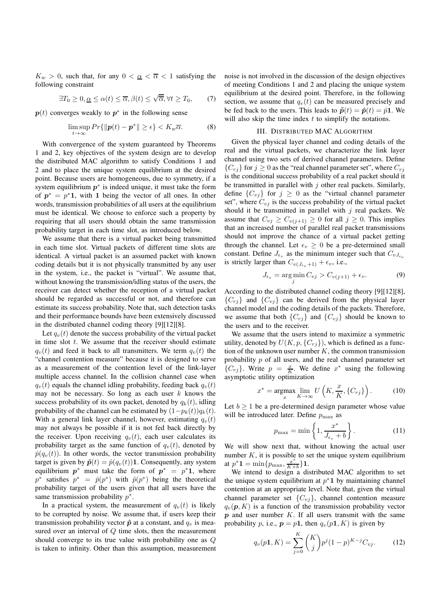$K_w > 0$ , such that, for any  $0 < \alpha < \overline{\alpha} < 1$  satisfying the following constraint

$$
\exists T_0 \ge 0, \underline{\alpha} \le \alpha(t) \le \overline{\alpha}, \beta(t) \le \sqrt{\overline{\alpha}}, \forall t \ge T_0, \qquad (7)
$$

 $p(t)$  converges weakly to  $p^*$  in the following sense

$$
\limsup_{t \to \infty} Pr\{\|\mathbf{p}(t) - \mathbf{p}^*\| \ge \epsilon\} < K_w \overline{\alpha}.\tag{8}
$$

With convergence of the system guaranteed by Theorems 1 and 2, key objectives of the system design are to develop the distributed MAC algorithm to satisfy Conditions 1 and 2 and to place the unique system equilibrium at the desired point. Because users are homogeneous, due to symmetry, if a system equilibrium  $p^*$  is indeed unique, it must take the form of  $p^* = p^*1$ , with 1 being the vector of all ones. In other words, transmission probabilities of all users at the equilibrium must be identical. We choose to enforce such a property by requiring that all users should obtain the same transmission probability target in each time slot, as introduced below.

We assume that there is a virtual packet being transmitted in each time slot. Virtual packets of different time slots are identical. A virtual packet is an assumed packet with known coding details but it is not physically transmitted by any user in the system, i.e., the packet is "virtual". We assume that, without knowing the transmission/idling status of the users, the receiver can detect whether the reception of a virtual packet should be regarded as successful or not, and therefore can estimate its success probability. Note that, such detection tasks and their performance bounds have been extensively discussed in the distributed channel coding theory [9][12][8].

Let  $q_v(t)$  denote the success probability of the virtual packet in time slot  $t$ . We assume that the receiver should estimate  $q_v(t)$  and feed it back to all transmitters. We term  $q_v(t)$  the "channel contention measure" because it is designed to serve as a measurement of the contention level of the link-layer multiple access channel. In the collision channel case when  $q_v(t)$  equals the channel idling probability, feeding back  $q_v(t)$ may not be necessary. So long as each user  $k$  knows the success probability of its own packet, denoted by  $q_k(t)$ , idling probability of the channel can be estimated by  $(1-p_k(t))q_k(t)$ . With a general link layer channel, however, estimating  $q_v(t)$ may not always be possible if it is not fed back directly by the receiver. Upon receiving  $q_v(t)$ , each user calculates its probability target as the same function of  $q_v(t)$ , denoted by  $\hat{p}(q_v(t))$ . In other words, the vector transmission probability target is given by  $\hat{\mathbf{p}}(t) = \hat{p}(q_v(t))\mathbf{1}$ . Consequently, any system equilibrium  $p^*$  must take the form of  $p^* = p^* \mathbf{1}$ , where  $p^*$  satisfies  $p^* = \hat{p}(p^*)$  with  $\hat{p}(p^*)$  being the theoretical probability target of the users given that all users have the same transmission probability  $p^*$ .

In a practical system, the measurement of  $q_v(t)$  is likely to be corrupted by noise. We assume that, if users keep their transmission probability vector  $\hat{p}$  at a constant, and  $q_v$  is measured over an interval of  $O$  time slots, then the measurement should converge to its true value with probability one as Q is taken to infinity. Other than this assumption, measurement noise is not involved in the discussion of the design objectives of meeting Conditions 1 and 2 and placing the unique system equilibrium at the desired point. Therefore, in the following section, we assume that  $q_v(t)$  can be measured precisely and be fed back to the users. This leads to  $\tilde{\mathbf{p}}(t) = \hat{\mathbf{p}}(t) = \hat{p} \mathbf{1}$ . We will also skip the time index  $t$  to simplify the notations.

#### III. DISTRIBUTED MAC ALGORITHM

Given the physical layer channel and coding details of the real and the virtual packets, we characterize the link layer channel using two sets of derived channel parameters. Define  ${C_{rj}}$  for  $j \geq 0$  as the "real channel parameter set", where  $C_{rj}$ is the conditional success probability of a real packet should it be transmitted in parallel with  $j$  other real packets. Similarly, define  $\{C_{vj}\}\$ for  $j\geq 0$  as the "virtual channel parameter set", where  $C_{vi}$  is the success probability of the virtual packet should it be transmitted in parallel with  $j$  real packets. We assume that  $C_{vj} \geq C_{v(j+1)} \geq 0$  for all  $j \geq 0$ . This implies that an increased number of parallel real packet transmissions should not improve the chance of a virtual packet getting through the channel. Let  $\epsilon_v \geq 0$  be a pre-determined small constant. Define  $J_{\epsilon_v}$  as the minimum integer such that  $C_{vJ_{\epsilon_v}}$ is strictly larger than  $C_{v(J_{\epsilon_v}+1)} + \epsilon_v$ , i.e.,

$$
J_{\epsilon_v} = \underset{j}{\arg\min} C_{vj} > C_{v(j+1)} + \epsilon_v.
$$
 (9)

According to the distributed channel coding theory [9][12][8],  ${C_{r,i}}$  and  ${C_{v,i}}$  can be derived from the physical layer channel model and the coding details of the packets. Therefore, we assume that both  $\{C_{rj}\}\$  and  $\{C_{vj}\}\$  should be known to the users and to the receiver.

We assume that the users intend to maximize a symmetric utility, denoted by  $U(K, p, \{C_{rj}\})$ , which is defined as a function of the unknown user number  $K$ , the common transmission probability  $p$  of all users, and the real channel parameter set  $\{C_{rj}\}\$ . Write  $p = \frac{x}{K}$ . We define  $x^*$  using the following asymptotic utility optimization

$$
x^* = \underset{x}{\operatorname{argmax}} \lim_{K \to \infty} U\left(K, \frac{x}{K}, \{C_{rj}\}\right). \tag{10}
$$

Let  $b \ge 1$  be a pre-determined design parameter whose value will be introduced later. Define  $p_{\text{max}}$  as

$$
p_{\max} = \min\left\{1, \frac{x^*}{J_{\epsilon_v} + b}\right\}.
$$
 (11)

We will show next that, without knowing the actual user number  $K$ , it is possible to set the unique system equilibrium at  $p^* \mathbf{1} = \min\{p_{\max}, \frac{x^*}{K+b}\}\mathbf{1}.$ 

We intend to design a distributed MAC algorithm to set the unique system equilibrium at  $p^*$ **1** by maintaining channel contention at an appropriate level. Note that, given the virtual channel parameter set  $\{C_{vj}\}\$ , channel contention measure  $q_v(p, K)$  is a function of the transmission probability vector  $p$  and user number  $K$ . If all users transmit with the same probability p, i.e.,  $p = p1$ , then  $q_v(p1, K)$  is given by

$$
q_v(p\mathbf{1}, K) = \sum_{j=0}^{K} {K \choose j} p^j (1-p)^{K-j} C_{vj}.
$$
 (12)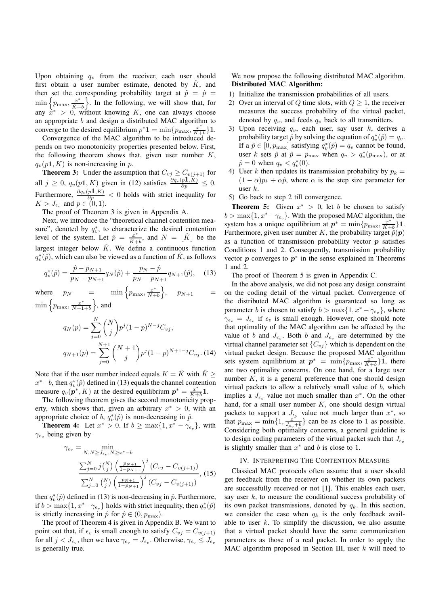Upon obtaining  $q_v$  from the receiver, each user should first obtain a user number estimate, denoted by  $\hat{K}$ , and then set the corresponding probability target at  $\tilde{p} = \hat{p}$  $\min\left\{p_{\text{max}}, \frac{x^*}{\hat{K}+}\right\}$  $\left\{\frac{x^*}{\hat{K}+b}\right\}$ . In the following, we will show that, for any  $x^* > 0$ , without knowing K, one can always choose an appropriate  $b$  and design a distributed MAC algorithm to converge to the desired equilibrium  $p^* \mathbf{1} = \min\{p_{\max}, \frac{x^*}{K+b}\}\mathbf{1}.$ 

Convergence of the MAC algorithm to be introduced depends on two monotonicity properties presented below. First, the following theorem shows that, given user number  $K$ ,  $q_v(p1, K)$  is non-increasing in p.

**Theorem 3:** Under the assumption that  $C_{vj} \geq C_{v(j+1)}$  for all  $j \geq 0$ ,  $q_v(p1, K)$  given in (12) satisfies  $\frac{\partial q_v(p1, K)}{\partial p} \leq 0$ . Furthermore,  $\frac{\partial q_v(p\mathbf{1},K)}{\partial p} < 0$  holds with strict inequality for  $K > J_{\epsilon_v}$  and  $p \in (0, 1)$ .

The proof of Theorem 3 is given in Appendix A.

Next, we introduce the "theoretical channel contention measure", denoted by  $q_v^*$ , to characterize the desired contention level of the system. Let  $\hat{p} = \frac{x^*}{\hat{k}_+}$  $\frac{x^*}{\hat{K}+b}$ , and  $N = \lfloor \hat{K} \rfloor$  be the largest integer below  $\hat{K}$ . We define a continuous function  $q_v^*(\hat{p})$ , which can also be viewed as a function of  $\hat{K}$ , as follows

$$
q_v^*(\hat{p}) = \frac{\hat{p} - p_{N+1}}{p_N - p_{N+1}} q_N(\hat{p}) + \frac{p_N - \hat{p}}{p_N - p_{N+1}} q_{N+1}(\hat{p}), \quad (13)
$$

where  $p_N = \min \left\{ p_{\text{max}}, \frac{x^*}{N+1} \right\}$  $\frac{x^*}{N+b}$  $p_{N+1}$  $\min\left\{p_{\text{max}}, \frac{x^*}{N+1}\right\}$  $\frac{x^*}{N+1+b}$ , and

$$
q_N(p) = \sum_{j=0}^N {N \choose j} p^j (1-p)^{N-j} C_{vj},
$$
  

$$
q_{N+1}(p) = \sum_{j=0}^{N+1} {N+1 \choose j} p^j (1-p)^{N+1-j} C_{vj}. \tag{14}
$$

Note that if the user number indeed equals  $K = \hat{K}$  with  $\hat{K} \geq$  $x^*$  – *b*, then  $q_v^*(\hat{p})$  defined in (13) equals the channel contention measure  $q_v(\boldsymbol{p}^*, K)$  at the desired equilibrium  $\boldsymbol{p}^* = \frac{x^*}{K+b} \mathbf{1}$ .

The following theorem gives the second monotonicity property, which shows that, given an arbitrary  $x^* > 0$ , with an appropriate choice of b,  $q_v^*(\hat{p})$  is non-decreasing in  $\hat{p}$ .

**Theorem 4:** Let  $x^* > 0$ . If  $b \ge \max\{1, x^* - \gamma_{\epsilon_v}\}\$ , with  $\gamma_{\epsilon_v}$  being given by

$$
\gamma_{\epsilon_v} = \min_{N, N \ge J_{\epsilon_v}, N \ge x^* - b} \n\frac{\sum_{j=0}^N j {N \choose j} \left( \frac{p_{N+1}}{1 - p_{N+1}} \right)^j (C_{vj} - C_{v(j+1)})}{\sum_{j=0}^N {N \choose j} \left( \frac{p_{N+1}}{1 - p_{N+1}} \right)^j (C_{vj} - C_{v(j+1)})}, (15)
$$

then  $q_v^*(\hat{p})$  defined in (13) is non-decreasing in  $\hat{p}$ . Furthermore, if  $b > \max\{1, x^* - \gamma_{\epsilon_v}\}\$  holds with strict inequality, then  $q_v^*(\hat{p})$ is strictly increasing in  $\hat{p}$  for  $\hat{p} \in (0, p_{\text{max}})$ .

The proof of Theorem 4 is given in Appendix B. We want to point out that, if  $\epsilon_v$  is small enough to satisfy  $C_{vi} = C_{v(i+1)}$ for all  $j < J_{\epsilon_v}$ , then we have  $\gamma_{\epsilon_v} = J_{\epsilon_v}$ . Otherwise,  $\gamma_{\epsilon_v} \leq J_{\epsilon_v}$ is generally true.

We now propose the following distributed MAC algorithm. **Distributed MAC Algorithm:**

- 1) Initialize the transmission probabilities of all users.
- 2) Over an interval of Q time slots, with  $Q \geq 1$ , the receiver measures the success probability of the virtual packet, denoted by  $q_v$ , and feeds  $q_v$  back to all transmitters.
- 3) Upon receiving  $q_v$ , each user, say user  $k$ , derives a probability target  $\hat{p}$  by solving the equation of  $q_v^*(\hat{p}) = q_v$ . If a  $\hat{p} \in [0, p_{\text{max}}]$  satisfying  $q_v^*(\hat{p}) = q_v$  cannot be found, user k sets  $\hat{p}$  at  $\hat{p} = p_{\text{max}}$  when  $q_v > q_v^*(p_{\text{max}})$ , or at  $\hat{p} = 0$  when  $q_v < q_v^*(0)$ .
- 4) User k then updates its transmission probability by  $p_k =$  $(1 - \alpha)p_k + \alpha \hat{p}$ , where  $\alpha$  is the step size parameter for user  $k$ .
- 5) Go back to step 2 till convergence.

**Theorem 5:** Given  $x^* > 0$ , let b be chosen to satisfy  $b > \max\{1, x^* - \gamma_{\epsilon_v}\}\.$  With the proposed MAC algorithm, the system has a unique equilibrium at  $p^* = \min\{p_{\max}, \frac{x^*}{K+b}\}\mathbf{1}$ . Furthermore, given user number K, the probability target  $\hat{p}(p)$ as a function of transmission probability vector  $p$  satisfies Conditions 1 and 2. Consequently, transmission probability vector  $p$  converges to  $p^*$  in the sense explained in Theorems 1 and 2.

The proof of Theorem 5 is given in Appendix C.

In the above analysis, we did not pose any design constraint on the coding detail of the virtual packet. Convergence of the distributed MAC algorithm is guaranteed so long as parameter b is chosen to satisfy  $b > \max\{1, x^* - \gamma_{\epsilon_v}\}\)$ , where  $\gamma_{\epsilon_v} = J_{\epsilon_v}$  if  $\epsilon_v$  is small enough. However, one should note that optimality of the MAC algorithm can be affected by the value of b and  $J_{\epsilon_v}$ . Both b and  $J_{\epsilon_v}$  are determined by the virtual channel parameter set  $\{C_{vj}\}\$  which is dependent on the virtual packet design. Because the proposed MAC algorithm sets system equilibrium at  $p^* = \min\{p_{\max}, \frac{x^*}{K+1}\}$  $\frac{x^*}{K+b}$  } 1, there are two optimality concerns. On one hand, for a large user number  $K$ , it is a general preference that one should design virtual packets to allow a relatively small value of  $b$ , which implies a  $J_{\epsilon_v}$  value not much smaller than  $x^*$ . On the other hand, for a small user number  $K$ , one should design virtual packets to support a  $J_{\epsilon_v}$  value not much larger than  $x^*$ , so that  $p_{\text{max}} = \min\{1, \frac{x^*}{J_{\epsilon_v}}\}$  $\frac{x}{J_{\epsilon_v}+b}$  can be as close to 1 as possible. Considering both optimality concerns, a general guideline is to design coding parameters of the virtual packet such that  $J_{\epsilon_{\nu}}$ is slightly smaller than  $x^*$  and b is close to 1.

### IV. INTERPRETING THE CONTENTION MEASURE

Classical MAC protocols often assume that a user should get feedback from the receiver on whether its own packets are successfully received or not [1]. This enables each user, say user  $k$ , to measure the conditional success probability of its own packet transmissions, denoted by  $q_k$ . In this section, we consider the case when  $q_k$  is the only feedback available to user  $k$ . To simplify the discussion, we also assume that a virtual packet should have the same communication parameters as those of a real packet. In order to apply the MAC algorithm proposed in Section III, user  $k$  will need to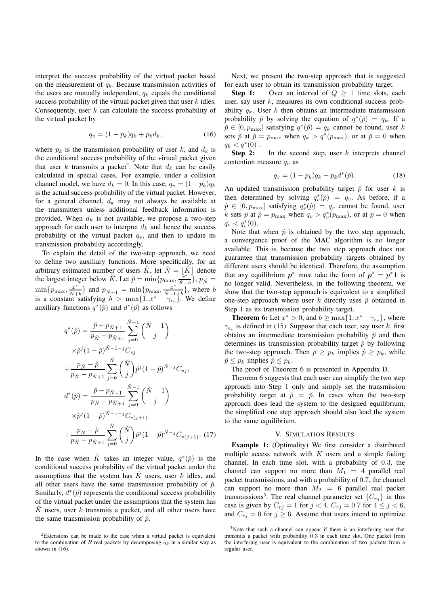interpret the success probability of the virtual packet based on the measurement of  $q_k$ . Because transmission activities of the users are mutually independent,  $q_k$  equals the conditional success probability of the virtual packet given that user  $k$  idles. Consequently, user  $k$  can calculate the success probability of the virtual packet by

$$
q_v = (1 - p_k)q_k + p_k d_k, \t\t(16)
$$

where  $p_k$  is the transmission probability of user k, and  $d_k$  is the conditional success probability of the virtual packet given that user k transmits a packet<sup>2</sup>. Note that  $d_k$  can be easily calculated in special cases. For example, under a collision channel model, we have  $d_k = 0$ . In this case,  $q_v = (1 - p_k)q_k$ is the actual success probability of the virtual packet. However, for a general channel,  $d_k$  may not always be available at the transmitters unless additional feedback information is provided. When  $d_k$  is not available, we propose a two-step approach for each user to interpret  $d_k$  and hence the success probability of the virtual packet  $q_v$ , and then to update its transmission probability accordingly.

To explain the detail of the two-step approach, we need to define two auxiliary functions. More specifically, for an arbitrary estimated number of users  $\breve{K}$ , let  $\breve{N} = |\breve{K}|$  denote the largest integer below  $\check{K}$ . Let  $\check{p} = \min\{p_{\max}, \frac{\check{x}^*}{\check{K}+1}\}$  $\frac{x^*}{\breve{K}+b}$ ,  $p_{\breve{N}} =$  $\min\{p_{\text{max}}, \frac{x^*}{N+1}\}$  $\frac{x^*}{N+b}$ } and  $p_{N+1} = \min\{p_{\max}, \frac{x^*}{N+1}\}$  $\frac{x^{\pi}}{N+1+b}$ , where b is a constant satisfying  $b > \max\{1, x^* - \gamma_{\epsilon_v}\}\)$ . We define auxiliary functions  $q^*(\check{p})$  and  $d^*(\check{p})$  as follows

$$
q^*(\check{p}) = \frac{\check{p} - p_{\check{N}+1}}{p_{\check{N}} - p_{\check{N}+1}} \sum_{j=0}^{\check{N}-1} {\check{N} - 1 \choose j} \times \check{p}^j (1 - \check{p})^{\check{N} - 1 - j} C_{vj} + \frac{p_{\check{N}} - \check{p}}{p_{\check{N}} - p_{\check{N}+1}} \sum_{j=0}^{\check{N}} {\check{N} \choose j} \check{p}^j (1 - \check{p})^{\check{N} - j} C_{vj}, d^*(\check{p}) = \frac{\check{p} - p_{\check{N}+1}}{p_{\check{N}} - p_{\check{N}+1}} \sum_{j=0}^{\check{N}-1} {\check{N} - 1 \choose j} \times \check{p}^j (1 - \check{p})^{\check{N} - 1 - j} C_{v(j+1)} + \frac{p_{\check{N}} - \check{p}}{p_{\check{N}} - p_{\check{N}+1}} \sum_{j=0}^{\check{N}} {\check{N} \choose j} \check{p}^j (1 - \check{p})^{\check{N} - j} C_{v(j+1)}.
$$
(17)

In the case when  $\breve{K}$  takes an integer value,  $q^*(\breve{p})$  is the conditional success probability of the virtual packet under the assumptions that the system has  $\tilde{K}$  users, user k idles, and all other users have the same transmission probability of  $\check{p}$ . Similarly,  $d^*(\tilde{p})$  represents the conditional success probability of the virtual packet under the assumptions that the system has  $\check{K}$  users, user k transmits a packet, and all other users have the same transmission probability of  $\check{p}$ .

Next, we present the two-step approach that is suggested for each user to obtain its transmission probability target.

**Step 1:** Over an interval of  $Q \ge 1$  time slots, each user, say user  $k$ , measures its own conditional success probability  $q_k$ . User k then obtains an intermediate transmission probability  $\check{p}$  by solving the equation of  $q^*(\check{p}) = q_k$ . If a  $\tilde{p} \in [0, p_{\text{max}}]$  satisfying  $q^*(\tilde{p}) = q_k$  cannot be found, user k sets  $\check{p}$  at  $\check{p} = p_{\text{max}}$  when  $q_k > q^*(p_{\text{max}})$ , or at  $\check{p} = 0$  when  $q_k < q^*(0)$ .

**Step 2:** In the second step, user k interprets channel contention measure  $q_v$  as

$$
q_v = (1 - p_k)q_k + p_k d^*(\check{p}).
$$
 (18)

An updated transmission probability target  $\hat{p}$  for user k is then determined by solving  $q_v^*(\hat{p}) = q_v$ . As before, if a  $\hat{p} \in [0, p_{\text{max}}]$  satisfying  $q_v^*(\hat{p}) = q_v$  cannot be found, user k sets  $\hat{p}$  at  $\hat{p} = p_{\text{max}}$  when  $q_v > q_v^*(p_{\text{max}})$ , or at  $\hat{p} = 0$  when  $q_v < q_v^*(0)$ .

Note that when  $\hat{p}$  is obtained by the two step approach, a convergence proof of the MAC algorithm is no longer available. This is because the two step approach does not guarantee that transmission probability targets obtained by different users should be identical. Therefore, the assumption that any equilibrium  $p^*$  must take the form of  $p^* = p^* \mathbf{1}$  is no longer valid. Nevertheless, in the following theorem, we show that the two-step approach is equivalent to a simplified one-step approach where user k directly uses  $\tilde{p}$  obtained in Step 1 as its transmission probability target.

**Theorem 6:** Let  $x^* > 0$ , and  $b \ge \max\{1, x^* - \gamma_{\epsilon_v}\}\)$ , where  $\gamma_{\epsilon_v}$  is defined in (15). Suppose that each user, say user k, first obtains an intermediate transmission probability  $\check{p}$  and then determines its transmission probability target  $\hat{p}$  by following the two-step approach. Then  $\tilde{p} \geq p_k$  implies  $\hat{p} \geq p_k$ , while  $\tilde{p} \leq p_k$  implies  $\hat{p} \leq p_k$ .

The proof of Theorem 6 is presented in Appendix D.

Theorem 6 suggests that each user can simplify the two step approach into Step 1 only and simply set the transmission probability target at  $\hat{p} = \check{p}$ . In cases when the two-step approach does lead the system to the designed equilibrium, the simplified one step approach should also lead the system to the same equilibrium.

#### V. SIMULATION RESULTS

**Example 1:** (Optimality) We first consider a distributed multiple access network with  $K$  users and a simple fading channel. In each time slot, with a probability of 0.3, the channel can support no more than  $M_1 = 4$  parallel real packet transmissions, and with a probability of 0.7, the channel can support no more than  $M_2 = 6$  parallel real packet transmissions<sup>3</sup>. The real channel parameter set  $\{C_{rj}\}\$ in this case is given by  $C_{rj} = 1$  for  $j < 4$ ,  $C_{rj} = 0.7$  for  $4 \le j < 6$ , and  $C_{rj} = 0$  for  $j \ge 6$ . Assume that users intend to optimize

<sup>&</sup>lt;sup>2</sup>Extensions can be made to the case when a virtual packet is equivalent to the combination of R real packets by decomposing  $q_k$  in a similar way as shown in (16).

<sup>&</sup>lt;sup>3</sup>Note that such a channel can appear if there is an interfering user that transmits a packet with probability 0.3 in each time slot. One packet from the interfering user is equivalent to the combination of two packets from a regular user.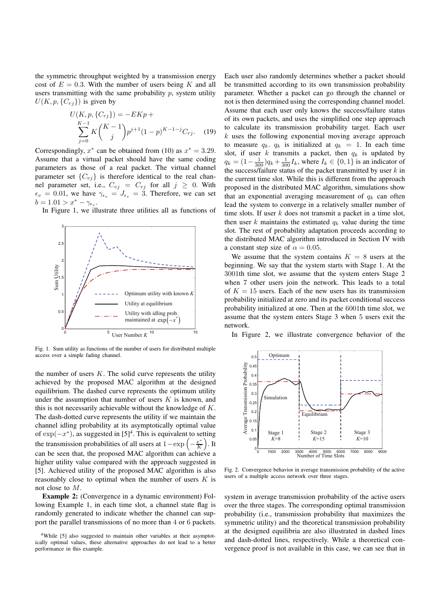the symmetric throughput weighted by a transmission energy cost of  $E = 0.3$ . With the number of users being K and all users transmitting with the same probability  $p$ , system utility  $U(K, p, \{C_{rj}\})$  is given by

$$
U(K, p, \{C_{rj}\}) = -EKp +
$$
  

$$
\sum_{j=0}^{K-1} K\binom{K-1}{j} p^{j+1} (1-p)^{K-1-j} C_{rj}.
$$
 (19)

Correspondingly,  $x^*$  can be obtained from (10) as  $x^* = 3.29$ . Assume that a virtual packet should have the same coding parameters as those of a real packet. The virtual channel parameter set  $\{C_{vj}\}$  is therefore identical to the real channel parameter set, i.e.,  $C_{vj} = C_{rj}$  for all  $j \geq 0$ . With  $\epsilon_v = 0.01$ , we have  $\gamma_{\epsilon_v} = J_{\epsilon_v} = 3$ . Therefore, we can set  $b = 1.01 > x^* - \gamma_{\epsilon_v}.$ 

In Figure 1, we illustrate three utilities all as functions of



Fig. 1. Sum utility as functions of the number of users for distributed multiple access over a simple fading channel.

the number of users  $K$ . The solid curve represents the utility achieved by the proposed MAC algorithm at the designed equilibrium. The dashed curve represents the optimum utility under the assumption that number of users  $K$  is known, and this is not necessarily achievable without the knowledge of  $K$ . The dash-dotted curve represents the utility if we maintain the channel idling probability at its asymptotically optimal value of  $\exp(-x^*)$ , as suggested in [5]<sup>4</sup>. This is equivalent to setting the transmission probabilities of all users at  $1 - \exp\left(-\frac{x^*}{K}\right)$  $\frac{x^*}{K}$ ). It can be seen that, the proposed MAC algorithm can achieve a higher utility value compared with the approach suggested in [5]. Achieved utility of the proposed MAC algorithm is also reasonably close to optimal when the number of users  $K$  is not close to M.

**Example 2:** (Convergence in a dynamic environment) Following Example 1, in each time slot, a channel state flag is randomly generated to indicate whether the channel can support the parallel transmissions of no more than 4 or 6 packets.

Each user also randomly determines whether a packet should be transmitted according to its own transmission probability parameter. Whether a packet can go through the channel or not is then determined using the corresponding channel model. Assume that each user only knows the success/failure status of its own packets, and uses the simplified one step approach to calculate its transmission probability target. Each user  $k$  uses the following exponential moving average approach to measure  $q_k$ .  $q_k$  is initialized at  $q_k = 1$ . In each time slot, if user  $k$  transmits a packet, then  $q_k$  is updated by  $q_k = (1 - \frac{1}{300})q_k + \frac{1}{300}I_k$ , where  $I_k \in \{0, 1\}$  is an indicator of the success/failure status of the packet transmitted by user  $k$  in the current time slot. While this is different from the approach proposed in the distributed MAC algorithm, simulations show that an exponential averaging measurement of  $q_k$  can often lead the system to converge in a relatively smaller number of time slots. If user  $k$  does not transmit a packet in a time slot, then user k maintains the estimated  $q_k$  value during the time slot. The rest of probability adaptation proceeds according to the distributed MAC algorithm introduced in Section IV with a constant step size of  $\alpha = 0.05$ .

We assume that the system contains  $K = 8$  users at the beginning. We say that the system starts with Stage 1. At the 3001th time slot, we assume that the system enters Stage 2 when 7 other users join the network. This leads to a total of  $K = 15$  users. Each of the new users has its transmission probability initialized at zero and its packet conditional success probability initialized at one. Then at the 6001th time slot, we assume that the system enters Stage 3 when 5 users exit the network.

In Figure 2, we illustrate convergence behavior of the



Fig. 2. Convergence behavior in average transmission probability of the active users of a multiple access network over three stages.

system in average transmission probability of the active users over the three stages. The corresponding optimal transmission probability (i.e., transmission probability that maximizes the symmetric utility) and the theoretical transmission probability at the designed equilibria are also illustrated in dashed lines and dash-dotted lines, respectively. While a theoretical convergence proof is not available in this case, we can see that in

<sup>&</sup>lt;sup>4</sup>While [5] also suggested to maintain other variables at their asymptotically optimal values, these alternative approaches do not lead to a better performance in this example.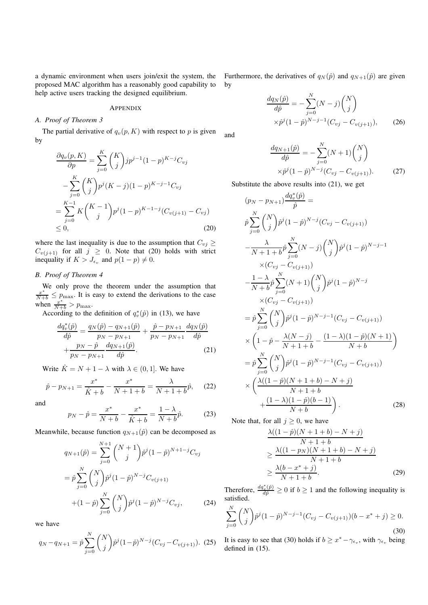a dynamic environment when users join/exit the system, the proposed MAC algorithm has a reasonably good capability to help active users tracking the designed equilibrium.

#### **APPENDIX**

# *A. Proof of Theorem 3*

The partial derivative of  $q_v(p, K)$  with respect to p is given by

$$
\frac{\partial q_v(p, K)}{\partial p} = \sum_{j=0}^{K} {K \choose j} j p^{j-1} (1-p)^{K-j} C_{vj}
$$
  

$$
-\sum_{j=0}^{K} {K \choose j} p^j (K-j) (1-p)^{K-j-1} C_{vj}
$$
  

$$
=\sum_{j=0}^{K-1} K {K-1 \choose j} p^j (1-p)^{K-1-j} (C_{v(j+1)} - C_{vj})
$$
  

$$
\leq 0,
$$
 (20)

where the last inequality is due to the assumption that  $C_{vj} \geq$  $C_{v(j+1)}$  for all  $j \geq 0$ . Note that (20) holds with strict inequality if  $K > J_{\epsilon_v}$  and  $p(1-p) \neq 0$ .

# *B. Proof of Theorem 4*

We only prove the theorem under the assumption that  $\frac{x^*}{N+b} \leq p_{\text{max}}$ . It is easy to extend the derivations to the case when  $\frac{x^*}{N+b} > p_{\text{max}}$ .

According to the definition of  $q_v^*(\hat{p})$  in (13), we have

$$
\frac{dq_v^*(\hat{p})}{d\hat{p}} = \frac{q_N(\hat{p}) - q_{N+1}(\hat{p})}{p_N - p_{N+1}} + \frac{\hat{p} - p_{N+1}}{p_N - p_{N+1}} \frac{dq_N(\hat{p})}{d\hat{p}} + \frac{p_N - \hat{p}}{p_N - p_{N+1}} \frac{dq_{N+1}(\hat{p})}{d\hat{p}}.
$$
\n(21)

Write  $\hat{K} = N + 1 - \lambda$  with  $\lambda \in (0, 1]$ . We have

$$
\hat{p} - p_{N+1} = \frac{x^*}{\hat{K} + b} - \frac{x^*}{N+1+b} = \frac{\lambda}{N+1+b}\hat{p},\qquad(22)
$$

and

$$
p_N - \hat{p} = \frac{x^*}{N + b} - \frac{x^*}{\hat{K} + b} = \frac{1 - \lambda}{N + b} \hat{p}.
$$
 (23)

Meanwhile, because function  $q_{N+1}(\hat{p})$  can be decomposed as

$$
q_{N+1}(\hat{p}) = \sum_{j=0}^{N+1} {N+1 \choose j} \hat{p}^j (1-\hat{p})^{N+1-j} C_{vj}
$$

$$
= \hat{p} \sum_{j=0}^N {N \choose j} \hat{p}^j (1-\hat{p})^{N-j} C_{v(j+1)}
$$

$$
+ (1-\hat{p}) \sum_{j=0}^N {N \choose j} \hat{p}^j (1-\hat{p})^{N-j} C_{vj}, \qquad (24)
$$

we have

$$
q_N - q_{N+1} = \hat{p} \sum_{j=0}^{N} {N \choose j} \hat{p}^j (1-\hat{p})^{N-j} (C_{vj} - C_{v(j+1)}). \tag{25}
$$

Furthermore, the derivatives of  $q_N(\hat{p})$  and  $q_{N+1}(\hat{p})$  are given by

$$
\frac{dq_N(\hat{p})}{d\hat{p}} = -\sum_{j=0}^{N} (N-j) \binom{N}{j}
$$

$$
\times \hat{p}^j (1-\hat{p})^{N-j-1} (C_{vj} - C_{v(j+1)}),
$$
(26)

and

$$
\frac{dq_{N+1}(\hat{p})}{d\hat{p}} = -\sum_{j=0}^{N} (N+1) \binom{N}{j}
$$

$$
\times \hat{p}^{j} (1-\hat{p})^{N-j} (C_{vj} - C_{v(j+1)}).
$$
 (27)

Substitute the above results into (21), we get

$$
(p_N - p_{N+1}) \frac{dq_v^*(\hat{p})}{\hat{p}} =
$$
  
\n
$$
\hat{p} \sum_{j=0}^N {N \choose j} \hat{p}^j (1-\hat{p})^{N-j} (C_{vj} - C_{v(j+1)})
$$
  
\n
$$
-\frac{\lambda}{N+1+b} \hat{p} \sum_{j=0}^N (N-j) {N \choose j} \hat{p}^j (1-\hat{p})^{N-j-1}
$$
  
\n
$$
\times (C_{vj} - C_{v(j+1)})
$$
  
\n
$$
-\frac{1-\lambda}{N+b} \hat{p} \sum_{j=0}^N (N+1) {N \choose j} \hat{p}^j (1-\hat{p})^{N-j}
$$
  
\n
$$
\times (C_{vj} - C_{v(j+1)})
$$
  
\n
$$
= \hat{p} \sum_{j=0}^N {N \choose j} \hat{p}^j (1-\hat{p})^{N-j-1} (C_{vj} - C_{v(j+1)})
$$
  
\n
$$
\times \left(1-\hat{p} - \frac{\lambda(N-j)}{N+1+b} - \frac{(1-\lambda)(1-\hat{p})(N+1)}{N+b}\right)
$$
  
\n
$$
= \hat{p} \sum_{j=0}^N {N \choose j} \hat{p}^j (1-\hat{p})^{N-j-1} (C_{vj} - C_{v(j+1)})
$$
  
\n
$$
\times \left(\frac{\lambda((1-\hat{p})(N+1+b) - N + j)}{N+b}\right).
$$
 (28)

Note that, for all  $j \geq 0$ , we have

$$
\frac{\lambda((1-\hat{p})(N+1+b)-N+j)}{N+1+b} \ge \frac{\lambda((1-p_N)(N+1+b)-N+j)}{N+1+b} \ge \frac{\lambda(b-x^*+j)}{N+1+b}.
$$
\n(29)

Therefore,  $\frac{dq_v^*(\hat{p})}{d\hat{p}} \ge 0$  if  $b \ge 1$  and the following inequality is satisfied.

$$
\sum_{j=0}^{N} {N \choose j} \hat{p}^{j} (1-\hat{p})^{N-j-1} (C_{vj} - C_{v(j+1)}) (b - x^* + j) \ge 0.
$$
\n(30)

It is easy to see that (30) holds if  $b \geq x^* - \gamma_{\epsilon_v}$ , with  $\gamma_{\epsilon_v}$  being defined in (15).